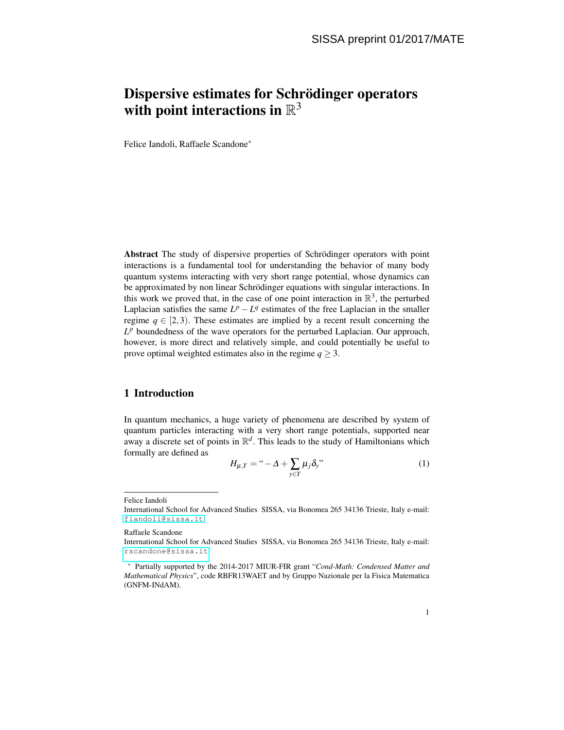# Dispersive estimates for Schrödinger operators with point interactions in  $\mathbb{R}^3$

Felice Iandoli, Raffaele Scandone<sup>∗</sup>

Abstract The study of dispersive properties of Schrödinger operators with point interactions is a fundamental tool for understanding the behavior of many body quantum systems interacting with very short range potential, whose dynamics can be approximated by non linear Schrödinger equations with singular interactions. In this work we proved that, in the case of one point interaction in  $\mathbb{R}^3$ , the perturbed Laplacian satisfies the same  $L^p - L^q$  estimates of the free Laplacian in the smaller regime  $q \in [2,3)$ . These estimates are implied by a recent result concerning the  $L^p$  boundedness of the wave operators for the perturbed Laplacian. Our approach, however, is more direct and relatively simple, and could potentially be useful to prove optimal weighted estimates also in the regime  $q \geq 3$ .

## 1 Introduction

In quantum mechanics, a huge variety of phenomena are described by system of quantum particles interacting with a very short range potentials, supported near away a discrete set of points in  $\mathbb{R}^d$ . This leads to the study of Hamiltonians which formally are defined as

<span id="page-0-0"></span>
$$
H_{\mu,Y} = \mu - \Delta + \sum_{y \in Y} \mu_j \delta_y
$$
\n<sup>(1)</sup>

Felice Iandoli

Raffaele Scandone

International School for Advanced Studies SISSA, via Bonomea 265 34136 Trieste, Italy e-mail: <fiandoli@sissa.it>

International School for Advanced Studies SISSA, via Bonomea 265 34136 Trieste, Italy e-mail: <rscandone@sissa.it>

<sup>∗</sup> Partially supported by the 2014-2017 MIUR-FIR grant "*Cond-Math: Condensed Matter and Mathematical Physics*", code RBFR13WAET and by Gruppo Nazionale per la Fisica Matematica (GNFM-INdAM).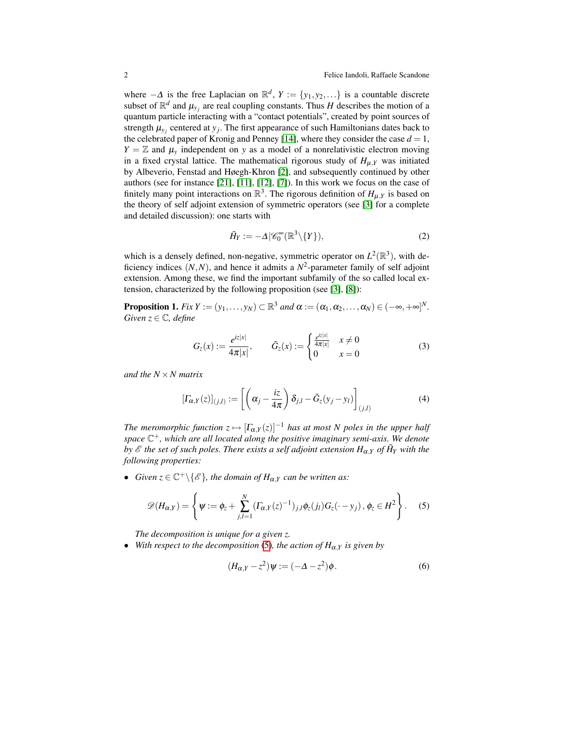where  $-\Delta$  is the free Laplacian on  $\mathbb{R}^d$ ,  $Y := \{y_1, y_2, \ldots\}$  is a countable discrete subset of  $\mathbb{R}^d$  and  $\mu_{y_j}$  are real coupling constants. Thus *H* describes the motion of a quantum particle interacting with a "contact potentials", created by point sources of strength  $\mu_{y_j}$  centered at  $y_j$ . The first appearance of such Hamiltonians dates back to the celebrated paper of Kronig and Penney [\[14\]](#page-11-0), where they consider the case  $d = 1$ ,  $Y = \mathbb{Z}$  and  $\mu$ <sub>*y*</sub> independent on *y* as a model of a nonrelativistic electron moving in a fixed crystal lattice. The mathematical rigorous study of  $H_{\mu,Y}$  was initiated by Albeverio, Fenstad and Høegh-Khron [\[2\]](#page-10-0), and subsequently continued by other authors (see for instance [\[21\]](#page-11-1), [\[11\]](#page-10-1), [\[12\]](#page-11-2), [\[7\]](#page-10-2)). In this work we focus on the case of finitely many point interactions on  $\mathbb{R}^3$ . The rigorous definition of  $H_{\mu,Y}$  is based on the theory of self adjoint extension of symmetric operators (see [\[3\]](#page-10-3) for a complete and detailed discussion): one starts with

$$
\tilde{H}_Y := -\Delta |\mathscr{C}_0^{\infty}(\mathbb{R}^3 \setminus \{Y\}),\tag{2}
$$

which is a densely defined, non-negative, symmetric operator on  $L^2(\mathbb{R}^3)$ , with deficiency indices  $(N, N)$ , and hence it admits a  $N^2$ -parameter family of self adjoint extension. Among these, we find the important subfamily of the so called local extension, characterized by the following proposition (see [\[3\]](#page-10-3), [\[8\]](#page-10-4)):

**Proposition 1.** *Fix*  $Y := (y_1, \ldots, y_N) \subset \mathbb{R}^3$  *and*  $\alpha := (\alpha_1, \alpha_2, \ldots, \alpha_N) \in (-\infty, +\infty]^N$ . *Given*  $z \in \mathbb{C}$ *, define* 

$$
G_z(x) := \frac{e^{iz|x|}}{4\pi|x|}, \qquad \tilde{G}_z(x) := \begin{cases} \frac{e^{iz|x|}}{4\pi|x|} & x \neq 0\\ 0 & x = 0 \end{cases}
$$
(3)

*and the N* ×*N matrix*

$$
\left[\Gamma_{\alpha,Y}(z)\right]_{(j,l)} := \left[\left(\alpha_j - \frac{iz}{4\pi}\right)\delta_{j,l} - \tilde{G}_z(y_j - y_l)\right]_{(j,l)}
$$
(4)

*The meromorphic function*  $z \mapsto [\Gamma_{\alpha,Y}(z)]^{-1}$  *has at most N poles in the upper half space* C <sup>+</sup>*, which are all located along the positive imaginary semi-axis. We denote by*  $\mathscr E$  *the set of such poles. There exists a self adjoint extension*  $H_{\alpha, Y}$  *of*  $\tilde{H}_Y$  *with the following properties:*

• *Given*  $z \in \mathbb{C}^+\backslash \{\mathscr{E}\}\$ , the domain of  $H_{\alpha,Y}$  can be written as:

<span id="page-1-0"></span>
$$
\mathscr{D}(H_{\alpha,Y}) = \left\{ \psi := \phi_z + \sum_{j,l=1}^N (T_{\alpha,Y}(z)^{-1})_{j,l} \phi_z(j_l) G_z(\cdot - y_j), \phi_z \in H^2 \right\}.
$$
 (5)

*The decomposition is unique for a given z.*

• *With respect to the decomposition* [\(5\)](#page-1-0)*, the action of H*α,*<sup>Y</sup> is given by*

$$
(H_{\alpha,Y} - z^2)\psi := (-\Delta - z^2)\phi.
$$
 (6)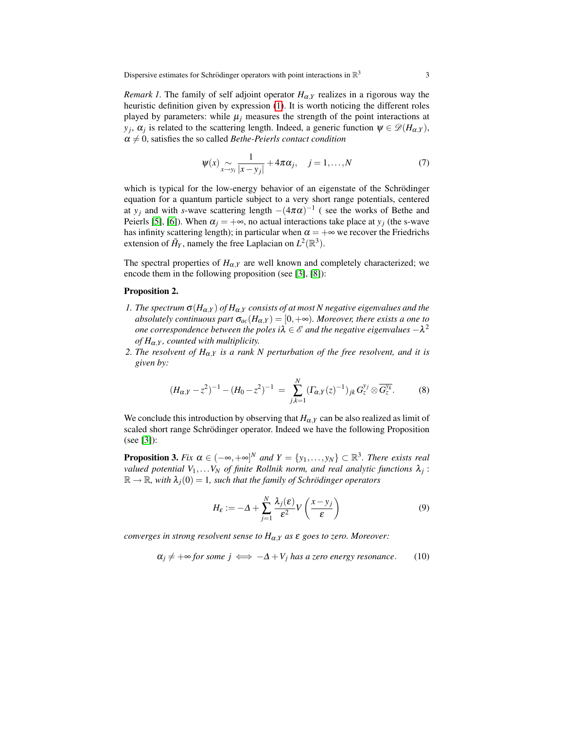*Remark 1.* The family of self adjoint operator  $H_{\alpha,Y}$  realizes in a rigorous way the heuristic definition given by expression [\(1\)](#page-0-0). It is worth noticing the different roles played by parameters: while  $\mu_i$  measures the strength of the point interactions at *y*<sub>*j*</sub>,  $\alpha$ <sub>*j*</sub> is related to the scattering length. Indeed, a generic function  $\psi \in \mathcal{D}(H_{\alpha,Y})$ ,  $\alpha \neq 0$ , satisfies the so called *Bethe-Peierls contact condition* 

$$
\Psi(x) \underset{x \to y_i}{\sim} \frac{1}{|x - y_j|} + 4\pi \alpha_j, \quad j = 1, \dots, N \tag{7}
$$

which is typical for the low-energy behavior of an eigenstate of the Schrödinger equation for a quantum particle subject to a very short range potentials, centered at *y<sub>j</sub>* and with *s*-wave scattering length  $-(4\pi\alpha)^{-1}$  (see the works of Bethe and Peierls [\[5\]](#page-10-5), [\[6\]](#page-10-6)). When  $\alpha_j = +\infty$ , no actual interactions take place at  $y_j$  (the s-wave has infinity scattering length); in particular when  $\alpha = +\infty$  we recover the Friedrichs extension of  $\tilde{H}_Y$ , namely the free Laplacian on  $L^2(\mathbb{R}^3)$ .

The spectral properties of  $H_{\alpha,Y}$  are well known and completely characterized; we encode them in the following proposition (see [\[3\]](#page-10-3), [\[8\]](#page-10-4)):

#### Proposition 2.

- *1. The spectrum*  $\sigma(H_{\alpha,Y})$  *of*  $H_{\alpha,Y}$  *consists of at most N negative eigenvalues and the absolutely continuous part*  $\sigma_{ac}(H_{\alpha,Y}) = [0, +\infty)$ *. Moreover, there exists a one to one correspondence between the poles i* $\lambda \in \mathscr{E}$  *and the negative eigenvalues*  $-\lambda^2$ *of H*α,*<sup>Y</sup> , counted with multiplicity.*
- *2. The resolvent of*  $H_{\alpha,Y}$  *is a rank N perturbation of the free resolvent, and it is given by:*

$$
(H_{\alpha,Y}-z^2)^{-1}-(H_0-z^2)^{-1} = \sum_{j,k=1}^N (\Gamma_{\alpha,Y}(z)^{-1})_{jk} G_z^{y_j} \otimes \overline{G_z^{y_k}}.
$$
 (8)

<span id="page-2-0"></span>We conclude this introduction by observing that  $H_{\alpha,Y}$  can be also realized as limit of scaled short range Schrödinger operator. Indeed we have the following Proposition (see [\[3\]](#page-10-3)):

**Proposition 3.** Fix  $\alpha \in (-\infty, +\infty]^N$  and  $Y = \{y_1, \ldots, y_N\} \subset \mathbb{R}^3$ . There exists real *valued potential V*1,...*V<sup>N</sup> of finite Rollnik norm, and real analytic functions* λ*<sup>j</sup>* :  $\mathbb{R} \to \mathbb{R}$ , with  $\lambda_i(0) = 1$ , such that the family of Schrödinger operators

$$
H_{\varepsilon} := -\Delta + \sum_{j=1}^{N} \frac{\lambda_j(\varepsilon)}{\varepsilon^2} V\left(\frac{x - y_j}{\varepsilon}\right)
$$
(9)

*converges in strong resolvent sense to H*α,*<sup>Y</sup> as* ε *goes to zero. Moreover:*

$$
\alpha_j \neq +\infty \text{ for some } j \iff -\Delta + V_j \text{ has a zero energy resonance.} \tag{10}
$$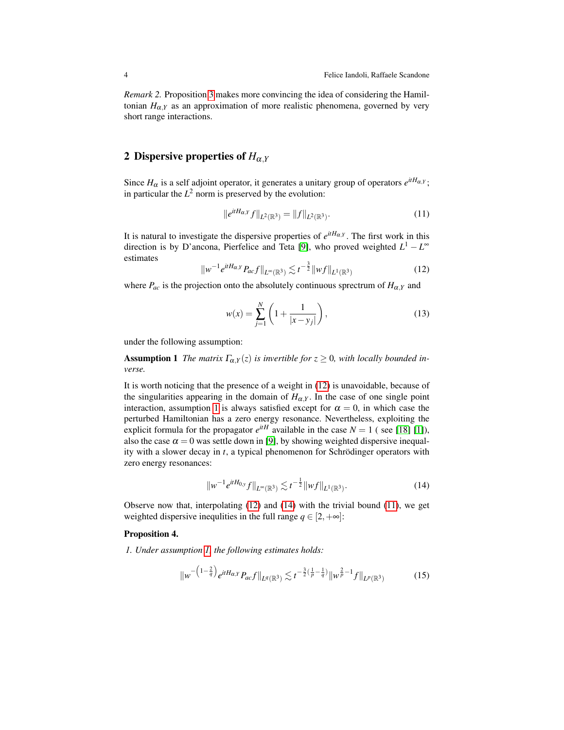*Remark 2.* Proposition [3](#page-2-0) makes more convincing the idea of considering the Hamiltonian  $H_{\alpha,Y}$  as an approximation of more realistic phenomena, governed by very short range interactions.

## 2 Dispersive properties of  $H_{\alpha,Y}$

<span id="page-3-3"></span>k*e*

Since  $H_{\alpha}$  is a self adjoint operator, it generates a unitary group of operators  $e^{itH_{\alpha,Y}}$ ; in particular the  $L^2$  norm is preserved by the evolution:

$$
|e^{itH_{\alpha,Y}}f||_{L^2(\mathbb{R}^3)} = ||f||_{L^2(\mathbb{R}^3)}.
$$
\n(11)

It is natural to investigate the dispersive properties of  $e^{itH_{\alpha,Y}}$ . The first work in this direction is by D'ancona, Pierfelice and Teta [\[9\]](#page-10-7), who proved weighted  $L^1 - L^{\infty}$ estimates

<span id="page-3-0"></span>
$$
\|w^{-1}e^{itH_{\alpha,Y}}P_{ac}f\|_{L^{\infty}(\mathbb{R}^3)} \lesssim t^{-\frac{3}{2}}\|wf\|_{L^{1}(\mathbb{R}^3)}
$$
(12)

where  $P_{ac}$  is the projection onto the absolutely continuous sprectrum of  $H_{\alpha,Y}$  and

<span id="page-3-1"></span>
$$
w(x) = \sum_{j=1}^{N} \left( 1 + \frac{1}{|x - y_j|} \right),
$$
 (13)

under the following assumption:

**Assumption 1** *The matrix*  $\Gamma_{\alpha,Y}(z)$  *is invertible for*  $z \geq 0$ *, with locally bounded inverse.*

It is worth noticing that the presence of a weight in [\(12\)](#page-3-0) is unavoidable, because of the singularities appearing in the domain of  $H_{\alpha}$ . In the case of one single point interaction, assumption [1](#page-3-1) is always satisfied except for  $\alpha = 0$ , in which case the perturbed Hamiltonian has a zero energy resonance. Nevertheless, exploiting the explicit formula for the propagator  $e^{itH}$  available in the case  $N = 1$  (see [\[18\]](#page-11-3) [\[1\]](#page-10-8)), also the case  $\alpha = 0$  was settle down in [\[9\]](#page-10-7), by showing weighted dispersive inequality with a slower decay in *t*, a typical phenomenon for Schrödinger operators with zero energy resonances:

<span id="page-3-2"></span>
$$
\|w^{-1}e^{itH_{0,y}}f\|_{L^{\infty}(\mathbb{R}^3)} \lesssim t^{-\frac{1}{2}}\|wf\|_{L^{1}(\mathbb{R}^3)}.
$$
 (14)

1

Observe now that, interpolating [\(12\)](#page-3-0) and [\(14\)](#page-3-2) with the trivial bound [\(11\)](#page-3-3), we get weighted dispersive inequlities in the full range  $q \in [2, +\infty]$ :

#### Proposition 4.

*1. Under assumption [1,](#page-3-1) the following estimates holds:*

<span id="page-3-4"></span>
$$
\|w^{-\left(1-\frac{2}{q}\right)}e^{itH_{\alpha,Y}}P_{ac}f\|_{L^{q}(\mathbb{R}^{3})} \lesssim t^{-\frac{3}{2}\left(\frac{1}{p}-\frac{1}{q}\right)}\|w^{\frac{2}{p}-1}f\|_{L^{p}(\mathbb{R}^{3})}
$$
(15)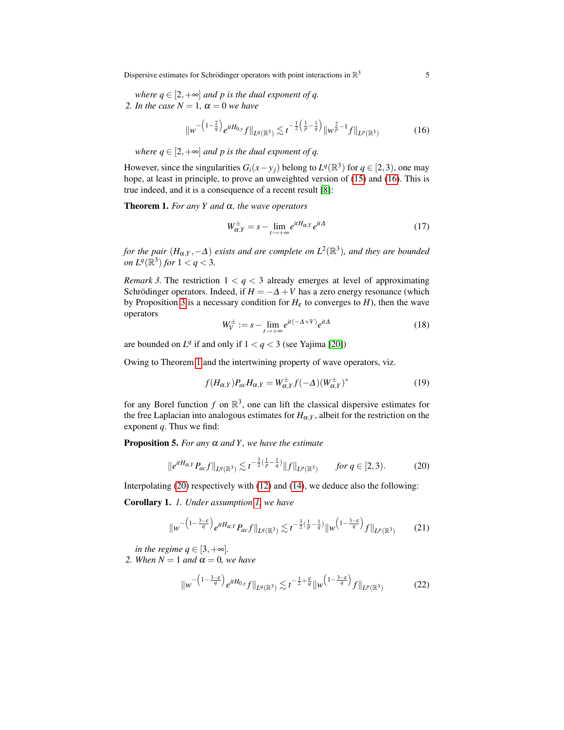Dispersive estimates for Schrödinger operators with point interactions in  $\mathbb{R}^3$ 

*where*  $q \in [2, +\infty]$  *and p is the dual exponent of q. 2. In the case*  $N = 1$ ,  $\alpha = 0$  *we have* 

<span id="page-4-0"></span>
$$
\|w^{-\left(1-\frac{2}{q}\right)}e^{itH_{0,y}}f\|_{L^{q}(\mathbb{R}^{3})} \lesssim t^{-\frac{1}{2}\left(\frac{1}{p}-\frac{1}{q}\right)}\|w^{\frac{2}{p}-1}f\|_{L^{p}(\mathbb{R}^{3})}
$$
(16)

*where*  $q \in [2, +\infty]$  *and p is the dual exponent of q.* 

However, since the singularities  $G_i(x - y_j)$  belong to  $L^q(\mathbb{R}^3)$  for  $q \in [2, 3)$ , one may hope, at least in principle, to prove an unweighted version of [\(15\)](#page-3-4) and [\(16\)](#page-4-0). This is true indeed, and it is a consequence of a recent result [\[8\]](#page-10-4):

Theorem 1. *For any Y and* α*, the wave operators*

<span id="page-4-1"></span>
$$
W_{\alpha,Y}^{\pm} = s - \lim_{t \to +\infty} e^{itH_{\alpha,Y}} e^{it\Delta} \tag{17}
$$

*for the pair*  $(H_{\alpha, Y}, -\Delta)$  *exists and are complete on*  $L^2(\mathbb{R}^3)$ *, and they are bounded on*  $L^q(\mathbb{R}^3)$  *for*  $1 < q < 3$ *.* 

*Remark 3.* The restriction  $1 < q < 3$  already emerges at level of approximating Schrödinger operators. Indeed, if  $H = -\Delta + V$  has a zero energy resonance (which by Proposition [3](#page-2-0) is a necessary condition for  $H_{\varepsilon}$  to converges to *H*), then the wave operators

$$
W_V^{\pm} := s - \lim_{t \to +\infty} e^{it(-\Delta + V)} e^{it\Delta} \tag{18}
$$

are bounded on  $L^q$  if and only if  $1 < q < 3$  (see Yajima [\[20\]](#page-11-4))

Owing to Theorem [1](#page-4-1) and the intertwining property of wave operators, viz.

<span id="page-4-5"></span><span id="page-4-4"></span>
$$
f(H_{\alpha,Y})P_{ac}H_{\alpha,Y} = W_{\alpha,Y}^{\pm}f(-\Delta)(W_{\alpha,Y}^{\pm})^*
$$
\n(19)

for any Borel function  $f$  on  $\mathbb{R}^3$ , one can lift the classical dispersive estimates for the free Laplacian into analogous estimates for  $H_{\alpha,Y}$ , albeit for the restriction on the exponent *q*. Thus we find:

**Proposition 5.** *For any*  $\alpha$  *and*  $Y$ *, we have the estimate* 

<span id="page-4-2"></span>
$$
\|e^{itH_{\alpha,Y}}P_{ac}f\|_{L^q(\mathbb{R}^3)} \lesssim t^{-\frac{3}{2}(\frac{1}{p}-\frac{1}{q})} \|f\|_{L^p(\mathbb{R}^3)} \qquad \text{for } q \in [2,3). \tag{20}
$$

Interpolating [\(20\)](#page-4-2) respectively with [\(12\)](#page-3-0) and [\(14\)](#page-3-2), we deduce also the following:

Corollary 1. *1. Under assumption [1,](#page-3-1) we have*

<span id="page-4-3"></span>
$$
\|w^{-\left(1-\frac{3-\varepsilon}{q}\right)}e^{itH_{\alpha,Y}}P_{ac}f\|_{L^{q}(\mathbb{R}^3)} \lesssim t^{-\frac{3}{2}\left(\frac{1}{p}-\frac{1}{q}\right)}\|w^{\left(1-\frac{3-\varepsilon}{q}\right)}f\|_{L^{p}(\mathbb{R}^3)}\tag{21}
$$

*in the regime*  $q \in [3, +\infty]$ *.* 

*2. When*  $N = 1$  *and*  $\alpha = 0$ *, we have* 

<span id="page-4-6"></span>
$$
\|w^{-\left(1-\frac{3-\varepsilon}{q}\right)}e^{itH_{0,y}}f\|_{L^{q}(\mathbb{R}^3)} \lesssim t^{-\frac{1}{2}+\frac{\varepsilon}{q}}\|w^{\left(1-\frac{3-\varepsilon}{q}\right)}f\|_{L^{p}(\mathbb{R}^3)}\tag{22}
$$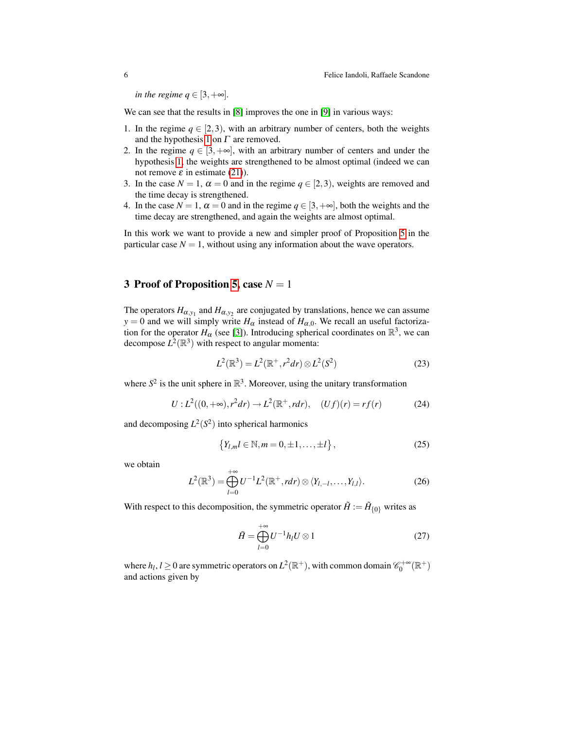*in the regime q*  $\in$  [3, + $\infty$ ].

We can see that the results in [\[8\]](#page-10-4) improves the one in [\[9\]](#page-10-7) in various ways:

- 1. In the regime  $q \in [2,3)$ , with an arbitrary number of centers, both the weights and the hypothesis [1](#page-3-1) on  $\Gamma$  are removed.
- 2. In the regime  $q \in [3, +\infty]$ , with an arbitrary number of centers and under the hypothesis [1,](#page-3-1) the weights are strengthened to be almost optimal (indeed we can not remove  $ε$  in estimate [\(21\)](#page-4-3)).
- 3. In the case  $N = 1$ ,  $\alpha = 0$  and in the regime  $q \in [2,3)$ , weights are removed and the time decay is strengthened.
- 4. In the case  $N = 1$ ,  $\alpha = 0$  and in the regime  $q \in [3, +\infty]$ , both the weights and the time decay are strengthened, and again the weights are almost optimal.

In this work we want to provide a new and simpler proof of Proposition [5](#page-4-4) in the particular case  $N = 1$ , without using any information about the wave operators.

## <span id="page-5-1"></span>3 Proof of Proposition [5,](#page-4-4) case  $N = 1$

The operators  $H_{\alpha,y_1}$  and  $H_{\alpha,y_2}$  are conjugated by translations, hence we can assume *y* = 0 and we will simply write  $H_{\alpha}$  instead of  $H_{\alpha,0}$ . We recall an useful factorization for the operator  $H_{\alpha}$  (see [\[3\]](#page-10-3)). Introducing spherical coordinates on  $\mathbb{R}^3$ , we can decompose  $L^2(\mathbb{R}^3)$  with respect to angular momenta:

$$
L^{2}(\mathbb{R}^{3}) = L^{2}(\mathbb{R}^{+}, r^{2}dr) \otimes L^{2}(S^{2})
$$
 (23)

where  $S^2$  is the unit sphere in  $\mathbb{R}^3$ . Moreover, using the unitary transformation

$$
U: L^{2}((0, +\infty), r^{2}dr) \to L^{2}(\mathbb{R}^{+}, rdr), \quad (Uf)(r) = rf(r)
$$
 (24)

and decomposing  $L^2(S^2)$  into spherical harmonics

$$
\{Y_{l,m}l \in \mathbb{N}, m = 0, \pm 1, \dots, \pm l\},\tag{25}
$$

we obtain

<span id="page-5-0"></span>
$$
L^{2}(\mathbb{R}^{3}) = \bigoplus_{l=0}^{+\infty} U^{-1}L^{2}(\mathbb{R}^{+}, r dr) \otimes \langle Y_{l,-l}, \ldots, Y_{l,l} \rangle.
$$
 (26)

With respect to this decomposition, the symmetric operator  $\tilde{H} := \tilde{H}_{\{0\}}$  writes as

$$
\tilde{H} = \bigoplus_{l=0}^{+\infty} U^{-1} h_l U \otimes 1 \tag{27}
$$

where  $h_l$ ,  $l \geq 0$  are symmetric operators on  $L^2(\mathbb{R}^+)$ , with common domain  $\mathscr{C}_0^{+\infty}(\mathbb{R}^+)$ and actions given by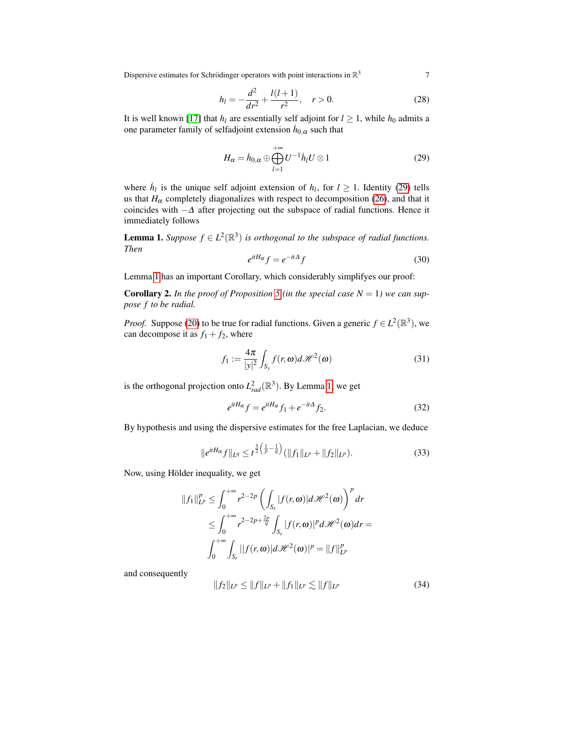Dispersive estimates for Schrödinger operators with point interactions in  $\mathbb{R}^3$ <sup>3</sup> 7

$$
h_l = -\frac{d^2}{dr^2} + \frac{l(l+1)}{r^2}, \quad r > 0.
$$
 (28)

It is well known [\[17\]](#page-11-5) that  $h_l$  are essentially self adjoint for  $l \geq 1$ , while  $h_0$  admits a one parameter family of selfadjoint extension  $\dot{h}_{0,\alpha}$  such that

<span id="page-6-0"></span>
$$
H_{\alpha} = \dot{h}_{0,\alpha} \oplus \bigoplus_{l=1}^{+\infty} U^{-1} \dot{h}_l U \otimes 1
$$
 (29)

where  $\dot{h}_l$  is the unique self adjoint extension of  $h_l$ , for  $l \geq 1$ . Identity [\(29\)](#page-6-0) tells us that  $H_\alpha$  completely diagonalizes with respect to decomposition [\(26\)](#page-5-0), and that it coincides with  $-\Delta$  after projecting out the subspace of radial functions. Hence it immediately follows

**Lemma 1.** Suppose  $f \in L^2(\mathbb{R}^3)$  is orthogonal to the subspace of radial functions. *Then*

<span id="page-6-2"></span><span id="page-6-1"></span>
$$
e^{itH_{\alpha}}f = e^{-it\Delta}f\tag{30}
$$

Lemma [1](#page-6-1) has an important Corollary, which considerably simplifyes our proof:

**Corollary 2.** In the proof of Proposition [5](#page-4-4) (in the special case  $N = 1$ ) we can sup*pose f to be radial.*

*Proof.* Suppose [\(20\)](#page-4-2) to be true for radial functions. Given a generic  $f \in L^2(\mathbb{R}^3)$ , we can decompose it as  $f_1 + f_2$ , where

$$
f_1 := \frac{4\pi}{|y|^2} \int_{S_y} f(r, \omega) d\mathcal{H}^2(\omega)
$$
 (31)

is the orthogonal projection onto  $L<sub>rad</sub><sup>2</sup>(\mathbb{R}<sup>3</sup>)$ . By Lemma [1,](#page-6-1) we get

$$
e^{itH_{\alpha}}f = e^{itH_{\alpha}}f_1 + e^{-it\Delta}f_2.
$$
\n(32)

By hypothesis and using the dispersive estimates for the free Laplacian, we deduce

$$
||e^{itH_{\alpha}}f||_{L^{q}} \leq t^{\frac{3}{2}\left(\frac{1}{p}-\frac{1}{q}\right)}(||f_{1}||_{L^{p}}+||f_{2}||_{L^{p}}).
$$
\n(33)

Now, using Hölder inequality, we get

$$
||f_1||_{L^p}^p \le \int_0^{+\infty} r^{2-2p} \left( \int_{S_r} |f(r, \omega)| d\mathcal{H}^2(\omega) \right)^p dr
$$
  

$$
\le \int_0^{+\infty} r^{2-2p+\frac{2p}{q}} \int_{S_r} |f(r, \omega)|^p d\mathcal{H}^2(\omega) dr =
$$
  

$$
\int_0^{+\infty} \int_{S_r} ||f(r, \omega)| d\mathcal{H}^2(\omega)|^p = ||f||_{L^p}^p
$$

and consequently

$$
||f_2||_{L^p} \le ||f||_{L^p} + ||f_1||_{L^p} \lesssim ||f||_{L^p}
$$
\n(34)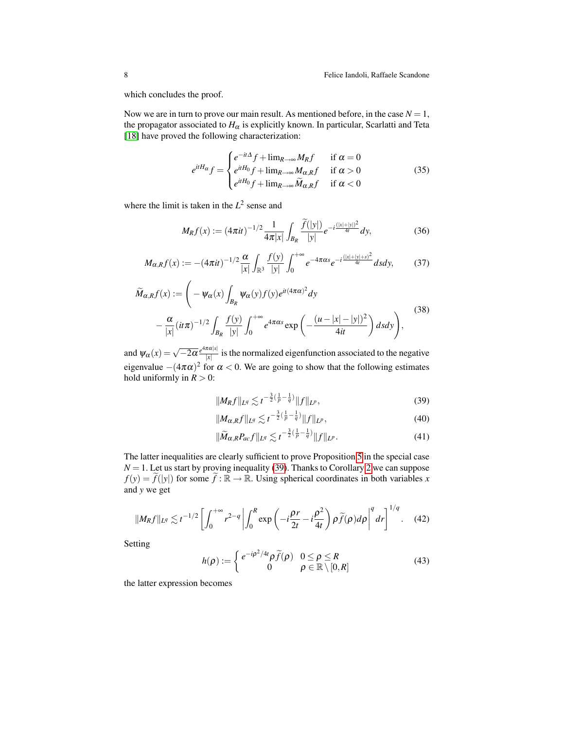which concludes the proof.

Now we are in turn to prove our main result. As mentioned before, in the case  $N = 1$ , the propagator associated to  $H_{\alpha}$  is explicitly known. In particular, Scarlatti and Teta [\[18\]](#page-11-3) have proved the following characterization:

$$
e^{itH_{\alpha}}f = \begin{cases} e^{-it\Delta}f + \lim_{R \to \infty} M_R f & \text{if } \alpha = 0\\ e^{itH_0}f + \lim_{R \to \infty} M_{\alpha,R}f & \text{if } \alpha > 0\\ e^{itH_0}f + \lim_{R \to \infty} \widetilde{M}_{\alpha,R}f & \text{if } \alpha < 0 \end{cases}
$$
(35)

where the limit is taken in the  $L^2$  sense and

$$
M_R f(x) := (4\pi i t)^{-1/2} \frac{1}{4\pi |x|} \int_{B_R} \frac{\widetilde{f}(|y|)}{|y|} e^{-i\frac{(|x|+|y|)^2}{4t}} dy,
$$
 (36)

$$
M_{\alpha,R}f(x) := -(4\pi it)^{-1/2} \frac{\alpha}{|x|} \int_{\mathbb{R}^3} \frac{f(y)}{|y|} \int_0^{+\infty} e^{-4\pi\alpha s} e^{-i\frac{(|x|+|y|+s)^2}{4t}} ds dy,
$$
 (37)

<span id="page-7-3"></span>
$$
\widetilde{M}_{\alpha,R}f(x) := \left(-\psi_{\alpha}(x)\int_{B_R}\psi_{\alpha}(y)f(y)e^{it(4\pi\alpha)^2}dy -\frac{\alpha}{|x|}(it\pi)^{-1/2}\int_{B_R}\frac{f(y)}{|y|}\int_0^{+\infty}e^{4\pi\alpha s}\exp\left(-\frac{(u-|x|-|y|)^2}{4it}\right)dsdy\right),
$$
\n(38)

and  $\psi_{\alpha}(x) = \sqrt{-2\alpha} \frac{e^{4\pi\alpha|x|}}{|x|}$  $\frac{d\mathbf{x} + \mathbf{x}}{|\mathbf{x}|}$  is the normalized eigenfunction associated to the negative eigenvalue  $-(4\pi\alpha)^2$  for  $\alpha < 0$ . We are going to show that the following estimates hold uniformly in  $R > 0$ :

<span id="page-7-0"></span>
$$
||M_R f||_{L^q} \lesssim t^{-\frac{3}{2}(\frac{1}{p} - \frac{1}{q})} ||f||_{L^p},
$$
\n(39)

<span id="page-7-1"></span>
$$
||M_{\alpha,R}f||_{L^{q}} \lesssim t^{-\frac{3}{2}(\frac{1}{p}-\frac{1}{q})}||f||_{L^{p}},
$$
\n(40)

<span id="page-7-2"></span>
$$
\|\widetilde{M}_{\alpha,R}P_{ac}f\|_{L^q}\lesssim t^{-\frac{3}{2}(\frac{1}{p}-\frac{1}{q})}\|f\|_{L^p}.\tag{41}
$$

The latter inequalities are clearly sufficient to prove Proposition [5](#page-4-4) in the special case  $N = 1$ . Let us start by proving inequality [\(39\)](#page-7-0). Thanks to Corollary [2](#page-6-2) we can suppose  $f(y) = \tilde{f}(|y|)$  for some  $\tilde{f} : \mathbb{R} \to \mathbb{R}$ . Using spherical coordinates in both variables *x* and *y* we get

$$
||M_R f||_{L^q} \lesssim t^{-1/2} \left[ \int_0^{+\infty} r^{2-q} \left| \int_0^R \exp\left(-i\frac{\rho r}{2t} - i\frac{\rho^2}{4t}\right) \rho \widetilde{f}(\rho) d\rho \right|^q dr \right]^{1/q}.
$$
 (42)

Setting

$$
h(\rho) := \begin{cases} e^{-i\rho^2/4t} \rho \widetilde{f}(\rho) & 0 \le \rho \le R \\ 0 & \rho \in \mathbb{R} \setminus [0, R] \end{cases}
$$
(43)

the latter expression becomes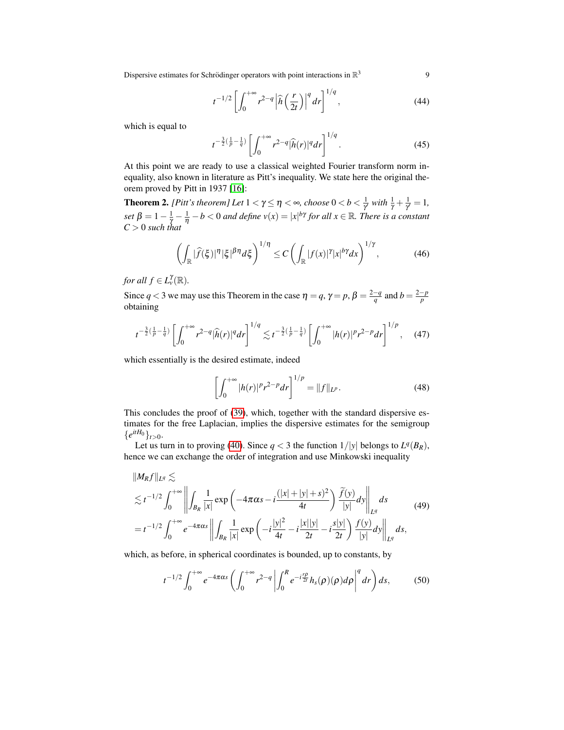Dispersive estimates for Schrödinger operators with point interactions in  $\mathbb{R}^3$ <sup>3</sup> 9

$$
t^{-1/2} \left[ \int_0^{+\infty} r^{2-q} \left| \widehat{h} \left( \frac{r}{2t} \right) \right|^q dr \right]^{1/q}, \tag{44}
$$

which is equal to

$$
t^{-\frac{3}{2}(\frac{1}{p}-\frac{1}{q})}\left[\int_0^{+\infty}r^{2-q}|\widehat{h}(r)|^qdr\right]^{1/q}.\tag{45}
$$

At this point we are ready to use a classical weighted Fourier transform norm inequality, also known in literature as Pitt's inequality. We state here the original theorem proved by Pitt in 1937 [\[16\]](#page-11-6):

**Theorem 2.** *[Pitt's theorem] Let*  $1 < \gamma \leq \eta < \infty$ , choose  $0 < b < \frac{1}{\gamma}$  with  $\frac{1}{\gamma} + \frac{1}{\gamma} = 1$ , γ γ *set*  $\beta = 1 - \frac{1}{\gamma} - \frac{1}{\eta} - b < 0$  *and define*  $v(x) = |x|^{b\gamma}$  *for all*  $x \in \mathbb{R}$ *. There is a constant C* > 0 *such that*

$$
\left(\int_{\mathbb{R}}|\widehat{f}(\xi)|^{\eta}|\xi|^{\beta\eta}d\xi\right)^{1/\eta}\leq C\left(\int_{\mathbb{R}}|f(x)|^{\gamma}|x|^{b\gamma}dx\right)^{1/\gamma},\tag{46}
$$

*for all*  $f \in L^{\gamma}_v(\mathbb{R})$ *.* 

Since  $q < 3$  we may use this Theorem in the case  $\eta = q$ ,  $\gamma = p$ ,  $\beta = \frac{2-q}{q}$  and  $b = \frac{2-p}{p}$ obtaining

$$
t^{-\frac{3}{2}(\frac{1}{p}-\frac{1}{q})}\left[\int_0^{+\infty}r^{2-q}|\widehat{h}(r)|^qdr\right]^{1/q}\lesssim t^{-\frac{3}{2}(\frac{1}{p}-\frac{1}{q})}\left[\int_0^{+\infty}|h(r)|^pr^{2-p}dr\right]^{1/p},\quad(47)
$$

which essentially is the desired estimate, indeed

$$
\left[\int_0^{+\infty} |h(r)|^p r^{2-p} dr\right]^{1/p} = \|f\|_{L^p}.
$$
 (48)

This concludes the proof of [\(39\)](#page-7-0), which, together with the standard dispersive estimates for the free Laplacian, implies the dispersive estimates for the semigroup  ${e^{itH_0}}_{t>0}.$ 

Let us turn in to proving [\(40\)](#page-7-1). Since  $q < 3$  the function  $1/|y|$  belongs to  $L^q(B_R)$ , hence we can exchange the order of integration and use Minkowski inequality

$$
||M_R f||_{L^q} \lesssim
$$
  
\n
$$
\lesssim t^{-1/2} \int_0^{+\infty} \left\| \int_{B_R} \frac{1}{|x|} \exp\left( -4\pi\alpha s - i \frac{(|x| + |y| + s)^2}{4t} \right) \frac{\widetilde{f}(y)}{|y|} dy \right\|_{L^q} ds
$$
  
\n
$$
= t^{-1/2} \int_0^{+\infty} e^{-4\pi\alpha s} \left\| \int_{B_R} \frac{1}{|x|} \exp\left( -i \frac{|y|^2}{4t} - i \frac{|x||y|}{2t} - i \frac{s|y|}{2t} \right) \frac{f(y)}{|y|} dy \right\|_{L^q} ds,
$$
\n(49)

which, as before, in spherical coordinates is bounded, up to constants, by

<span id="page-8-0"></span>
$$
t^{-1/2} \int_0^{+\infty} e^{-4\pi\alpha s} \left( \int_0^{+\infty} r^{2-q} \left| \int_0^R e^{-i\frac{r\rho}{2t}} h_s(\rho)(\rho) d\rho \right|^q dr \right) ds, \tag{50}
$$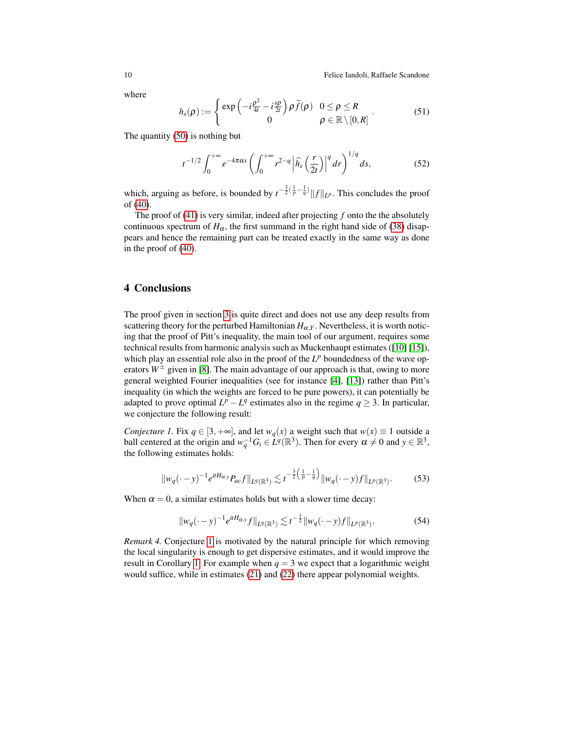10 **Felice Iandoli, Raffaele Scandone** 

where

$$
h_s(\rho) := \begin{cases} \exp\left(-i\frac{\rho^2}{4t} - i\frac{s\rho}{2t}\right)\rho \widetilde{f}(\rho) & 0 \le \rho \le R \\ 0 & \rho \in \mathbb{R} \setminus [0,R] \end{cases} \tag{51}
$$

The quantity [\(50\)](#page-8-0) is nothing but

$$
t^{-1/2} \int_0^{+\infty} e^{-4\pi\alpha s} \left( \int_0^{+\infty} r^{2-q} \left| \widehat{h}_s \left( \frac{r}{2t} \right) \right|^q dr \right)^{1/q} ds, \tag{52}
$$

which, arguing as before, is bounded by  $t^{-\frac{3}{2}(\frac{1}{p}-\frac{1}{q})} \|f\|_{L^p}$ . This concludes the proof of [\(40\)](#page-7-1).

The proof of [\(41\)](#page-7-2) is very similar, indeed after projecting *f* onto the the absolutely continuous spectrum of  $H_{\alpha}$ , the first summand in the right hand side of [\(38\)](#page-7-3) disappears and hence the remaining part can be treated exactly in the same way as done in the proof of [\(40\)](#page-7-1).

## 4 Conclusions

The proof given in section [3](#page-5-1) is quite direct and does not use any deep results from scattering theory for the perturbed Hamiltonian  $H_{\alpha}$ , Nevertheless, it is worth noticing that the proof of Pitt's inequality, the main tool of our argument, requires some technical results from harmonic analysis such as Muckenhaupt estimates ([\[10\]](#page-10-9) [\[15\]](#page-11-7)), which play an essential role also in the proof of the  $L^p$  boundedness of the wave operators  $W^{\pm}$  given in [\[8\]](#page-10-4). The main advantage of our approach is that, owing to more general weighted Fourier inequalities (see for instance [\[4\]](#page-10-10), [\[13\]](#page-11-8)) rather than Pitt's inequality (in which the weights are forced to be pure powers), it can potentially be adapted to prove optimal  $L^p - L^q$  estimates also in the regime  $q \geq 3$ . In particular, we conjecture the following result:

*Conjecture 1.* Fix  $q \in [3, +\infty]$ , and let  $w_q(x)$  a weight such that  $w(x) \equiv 1$  outside a ball centered at the origin and  $w_q^{-1}G_i \in L^q(\mathbb{R}^3)$ . Then for every  $\alpha \neq 0$  and  $y \in \mathbb{R}^3$ , the following estimates holds:

<span id="page-9-0"></span>
$$
\|w_q(\cdot - y)^{-1} e^{itH_{\alpha,y}} P_{ac} f\|_{L^q(\mathbb{R}^3)} \lesssim t^{-\frac{3}{2}\left(\frac{1}{p} - \frac{1}{q}\right)} \|w_q(\cdot - y)f\|_{L^p(\mathbb{R}^3)}.
$$
 (53)

When  $\alpha = 0$ , a similar estimates holds but with a slower time decay:

$$
||w_q(\cdot - y)^{-1} e^{itH_{\alpha,y}} f||_{L^q(\mathbb{R}^3)} \lesssim t^{-\frac{1}{2}} ||w_q(\cdot - y)f||_{L^p(\mathbb{R}^3)}.
$$
 (54)

*Remark 4.* Conjecture [1](#page-9-0) is motivated by the natural principle for which removing the local singularity is enough to get dispersive estimates, and it would improve the result in Corollary [1.](#page-4-5) For example when  $q = 3$  we expect that a logarithmic weight would suffice, while in estimates [\(21\)](#page-4-3) and [\(22\)](#page-4-6) there appear polynomial weights.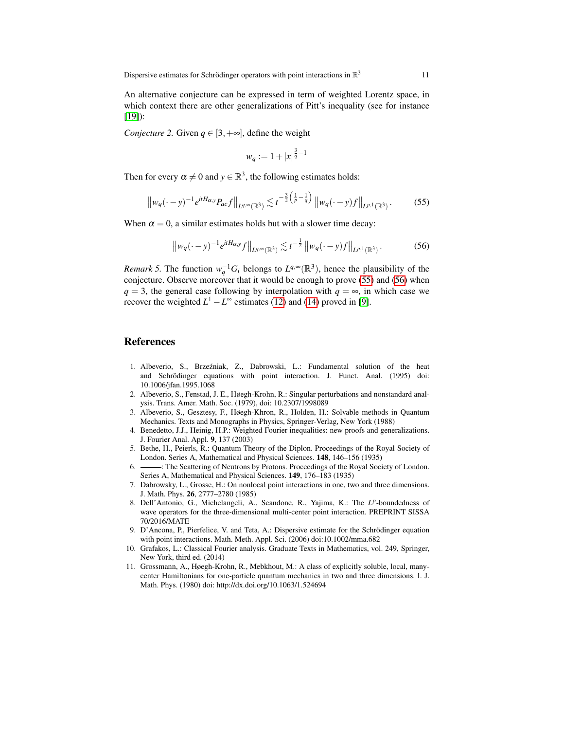An alternative conjecture can be expressed in term of weighted Lorentz space, in which context there are other generalizations of Pitt's inequality (see for instance [\[19\]](#page-11-9)):

*Conjecture 2.* Given  $q \in [3, +\infty]$ , define the weight

$$
w_q := 1 + |x|^{\frac{3}{q}-1}
$$

Then for every  $\alpha \neq 0$  and  $y \in \mathbb{R}^3$ , the following estimates holds:

<span id="page-10-11"></span>
$$
\left\|w_q(\cdot - y)^{-1}e^{itH_{\alpha,y}}P_{ac}f\right\|_{L^{q,\infty}(\mathbb{R}^3)} \lesssim t^{-\frac{3}{2}\left(\frac{1}{p} - \frac{1}{q}\right)}\left\|w_q(\cdot - y)f\right\|_{L^{p,1}(\mathbb{R}^3)}.
$$
 (55)

When  $\alpha = 0$ , a similar estimates holds but with a slower time decay:

<span id="page-10-12"></span>
$$
\left\|w_q(\cdot - y)^{-1} e^{itH_{\alpha,y}} f\right\|_{L^{q,\infty}(\mathbb{R}^3)} \lesssim t^{-\frac{1}{2}} \left\|w_q(\cdot - y) f\right\|_{L^{p,1}(\mathbb{R}^3)}.
$$
 (56)

*Remark 5.* The function  $w_q^{-1}G_i$  belongs to  $L^{q,\infty}(\mathbb{R}^3)$ , hence the plausibility of the conjecture. Observe moreover that it would be enough to prove [\(55\)](#page-10-11) and [\(56\)](#page-10-12) when *q* = 3, the general case following by interpolation with  $q = \infty$ , in which case we recover the weighted  $L^1 - L^\infty$  estimates [\(12\)](#page-3-0) and [\(14\)](#page-3-2) proved in [\[9\]](#page-10-7).

### References

- <span id="page-10-8"></span>1. Albeverio, S., Brzezniak, Z., Dabrowski, L.: Fundamental solution of the heat ´ and Schrödinger equations with point interaction. J. Funct. Anal. (1995) doi: 10.1006/jfan.1995.1068
- <span id="page-10-0"></span>2. Albeverio, S., Fenstad, J. E., Høegh-Krohn, R.: Singular perturbations and nonstandard analysis. Trans. Amer. Math. Soc. (1979), doi: 10.2307/1998089
- <span id="page-10-3"></span>3. Albeverio, S., Gesztesy, F., Høegh-Khron, R., Holden, H.: Solvable methods in Quantum Mechanics. Texts and Monographs in Physics, Springer-Verlag, New York (1988)
- <span id="page-10-10"></span>4. Benedetto, J.J., Heinig, H.P.: Weighted Fourier inequalities: new proofs and generalizations. J. Fourier Anal. Appl. 9, 137 (2003)
- <span id="page-10-5"></span>5. Bethe, H., Peierls, R.: Quantum Theory of the Diplon. Proceedings of the Royal Society of London. Series A, Mathematical and Physical Sciences. 148, 146–156 (1935)
- <span id="page-10-6"></span>6. - The Scattering of Neutrons by Protons. Proceedings of the Royal Society of London. Series A, Mathematical and Physical Sciences. 149, 176–183 (1935)
- <span id="page-10-2"></span>7. Dabrowsky, L., Grosse, H.: On nonlocal point interactions in one, two and three dimensions. J. Math. Phys. 26, 2777–2780 (1985)
- <span id="page-10-4"></span>8. Dell'Antonio, G., Michelangeli, A., Scandone, R., Yajima, K.: The L<sup>p</sup>-boundedness of wave operators for the three-dimensional multi-center point interaction. PREPRINT SISSA 70/2016/MATE
- <span id="page-10-7"></span>9. D'Ancona, P., Pierfelice, V. and Teta, A.: Dispersive estimate for the Schrödinger equation with point interactions. Math. Meth. Appl. Sci. (2006) doi:10.1002/mma.682
- <span id="page-10-9"></span>10. Grafakos, L.: Classical Fourier analysis. Graduate Texts in Mathematics, vol. 249, Springer, New York, third ed. (2014)
- <span id="page-10-1"></span>11. Grossmann, A., Høegh-Krohn, R., Mebkhout, M.: A class of explicitly soluble, local, manycenter Hamiltonians for one-particle quantum mechanics in two and three dimensions. I. J. Math. Phys. (1980) doi: http://dx.doi.org/10.1063/1.524694